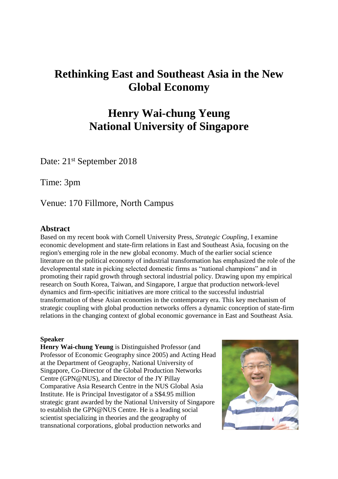## **Rethinking East and Southeast Asia in the New Global Economy**

## **Henry Wai-chung Yeung National University of Singapore**

Date: 21<sup>st</sup> September 2018

Time: 3pm

Venue: 170 Fillmore, North Campus

## **Abstract**

Based on my recent book with Cornell University Press, *Strategic Coupling*, I examine economic development and state-firm relations in East and Southeast Asia, focusing on the region's emerging role in the new global economy. Much of the earlier social science literature on the political economy of industrial transformation has emphasized the role of the developmental state in picking selected domestic firms as "national champions" and in promoting their rapid growth through sectoral industrial policy. Drawing upon my empirical research on South Korea, Taiwan, and Singapore, I argue that production network-level dynamics and firm-specific initiatives are more critical to the successful industrial transformation of these Asian economies in the contemporary era. This key mechanism of strategic coupling with global production networks offers a dynamic conception of state-firm relations in the changing context of global economic governance in East and Southeast Asia.

## **Speaker**

**Henry Wai-chung Yeung** is Distinguished Professor (and Professor of Economic Geography since 2005) and Acting Head at the Department of Geography, National University of Singapore, Co-Director of the Global Production Networks Centre (GPN@NUS), and Director of the JY Pillay Comparative Asia Research Centre in the NUS Global Asia Institute. He is Principal Investigator of a S\$4.95 million strategic grant awarded by the National University of Singapore to establish the GPN@NUS Centre. He is a leading social scientist specializing in theories and the geography of transnational corporations, global production networks and